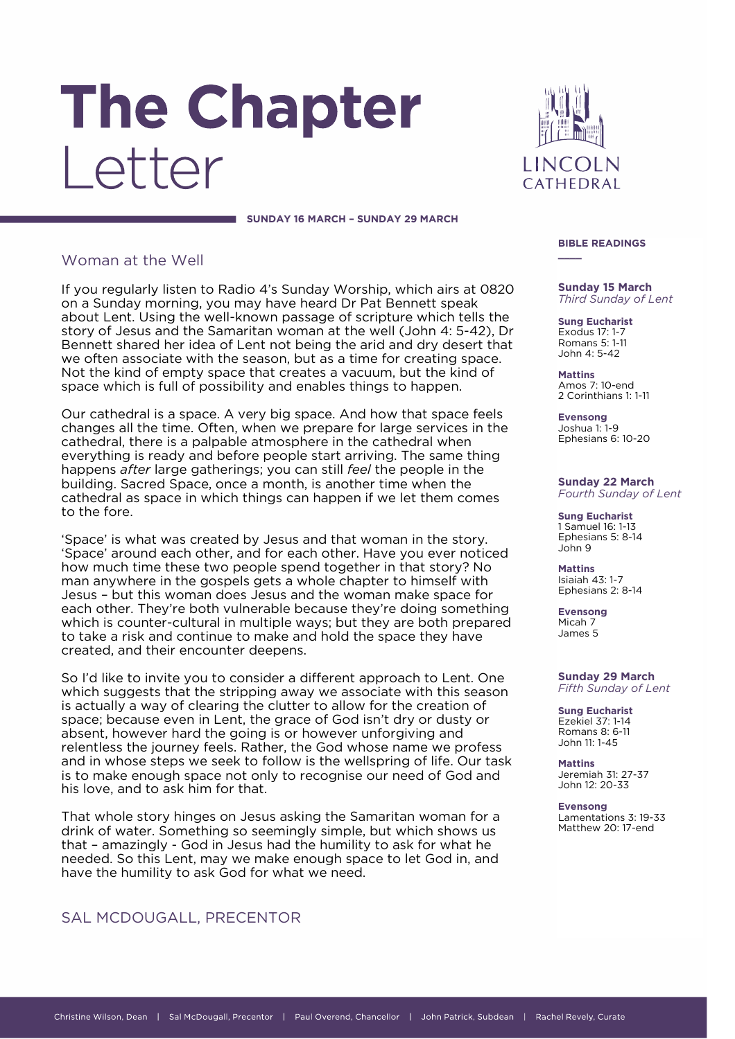# The Chapter Letter

LINCOLN CATHEDRAL

**\_\_\_\_**

### SUNDAY 16 MARCH - SUNDAY 29 MARCH

# Woman at the Well

If you regularly listen to Radio 4's Sunday Worship, which airs at 0820 on a Sunday morning, you may have heard Dr Pat Bennett speak about Lent. Using the well-known passage of scripture which tells the story of Jesus and the Samaritan woman at the well (John 4: 5-42), Dr Bennett shared her idea of Lent not being the arid and dry desert that we often associate with the season, but as a time for creating space. Not the kind of empty space that creates a vacuum, but the kind of space which is full of possibility and enables things to happen. space which is full of possibility and enables things to happen.

Our cathedral is a space. A very big space. And how that space feels changes all the time. Often, when we prepare for large services in the cathedral, there is a palpable atmosphere in the cathedral when everything is ready and before people start arriving. The same thing happens *after* large gatherings; you can still *feel* the people in the building. Sacred Space, once a month, is another time when the cathedral as space in which things can happen if we let them comes to the fore.

'Space' is what was created by Jesus and that woman in the story. how much time these two people spend together in that story? No man anywhere in the gospels gets a whole chapter to himself with Jesus – but this woman does Jesus and the woman make space for each other. They're both vulnerable because they're doing something which is counter-cultural in multiple ways; but they are both prepared to take a risk and continue to make and hold the space they have created, and their encounter deepens. created, and their encounter deepens.

So I'd like to invite you to consider a different approach to Lent. One which suggests that the stripping away we associate with this season is actually a way of clearing the clutter to allow for the creation of space; because even in Lent, the grace of God isn't dry or dusty or absent, however hard the going is or however unforgiving and relentless the journey feels. Rather, the God whose name we profess and in whose steps we seek to follow is the wellspring of life. Our task is to make enough space not only to recognise our need of God and his love, and to ask him for that. his love, and to ask him for that.

That whole story hinges on Jesus asking the Samaritan woman for a drink of water. Something so seemingly simple, but which shows us that - amazingly - God in Jesus had the humility to ask for what he needed. So this Lent, may we make enough space to let God in, and have the humility to ask God for what we need. have the humility to ask God for what we need.

# SAL MCDOUGALL, PRECENTOR

## **BIBLE READINGS**

**Third Sunday of L** *Third Sunday of Lent*

**Sung Eucharist** Exodus 17: 1-7 Romans 5: 1-11 John 4: 5-42

**Mattins** Amos 7: 10-end 2 Corinthians 1: 1-11

**Evensong** Ephesians 6: Ephesians 6: 10-20

**Sunday 22 March Fourth Sunday of Lent** *Fourth Sunday of Lent*

**Sung Eucharist** Ephesians 5: 8-14 John 9

**Mattins Isiaiah 43: 1-7**  $E$ phesians 2: Ephesians 2: 8-14

**Evensong Micah 7** James 5

### **Sunday 29 March Fifth Sunday of Lent** *Fifth Sunday of Lent*

**Sung Eucharist** Ezekiel 37: 1-14 Romans 8: 6-11 John 11: 1-45

**Mattins Jeremiah 31: 27-37** John 12: 20-33

**Evensong**<br>Lamentations 3: 19-33 Matthew 20: 17-end